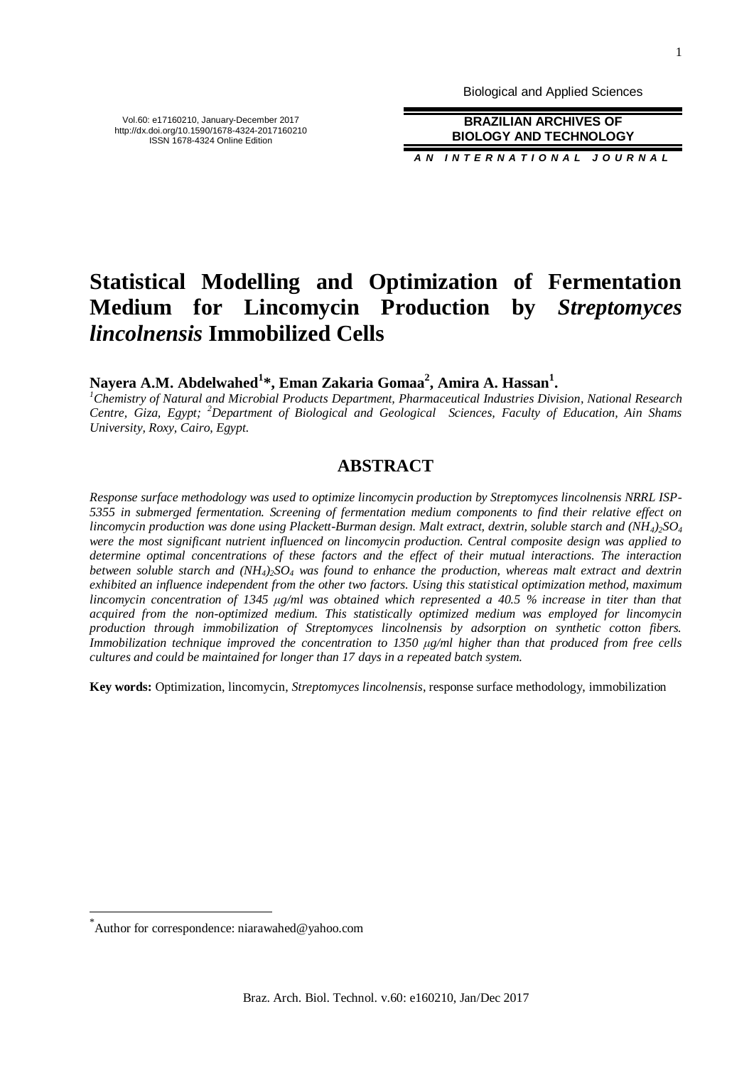Biological and Applied Sciences

**BRAZILIAN ARCHIVES OF BIOLOGY AND TECHNOLOGY**

*A N I N T E R N A T I O N A L J O U R N A L*

# **Statistical Modelling and Optimization of Fermentation Medium for Lincomycin Production by** *Streptomyces lincolnensis* **Immobilized Cells**

**Nayera A.M. Abdelwahed<sup>1</sup> \*, Eman Zakaria Gomaa<sup>2</sup> , Amira A. Hassan<sup>1</sup> .**

*<sup>1</sup>Chemistry of Natural and Microbial Products Department, Pharmaceutical Industries Division, National Research Centre, Giza, Egypt; <sup>2</sup>Department of Biological and Geological Sciences, Faculty of Education, Ain Shams University, Roxy, Cairo, Egypt.*

## **ABSTRACT**

*Response surface methodology was used to optimize lincomycin production by Streptomyces lincolnensis NRRL ISP-5355 in submerged fermentation. Screening of fermentation medium components to find their relative effect on lincomycin production was done using Plackett-Burman design. Malt extract, dextrin, soluble starch and (NH4)2SO<sup>4</sup> were the most significant nutrient influenced on lincomycin production. Central composite design was applied to determine optimal concentrations of these factors and the effect of their mutual interactions. The interaction between soluble starch and (NH4)2SO<sup>4</sup> was found to enhance the production, whereas malt extract and dextrin exhibited an influence independent from the other two factors. Using this statistical optimization method, maximum lincomycin concentration of 1345 μg/ml was obtained which represented a 40.5 % increase in titer than that acquired from the non-optimized medium. This statistically optimized medium was employed for lincomycin production through immobilization of Streptomyces lincolnensis by adsorption on synthetic cotton fibers. Immobilization technique improved the concentration to 1350 μg/ml higher than that produced from free cells cultures and could be maintained for longer than 17 days in a repeated batch system.*

**Key words:** Optimization, lincomycin, *Streptomyces lincolnensis*, response surface methodology, immobilization

\* Author for correspondence: niarawahed@yahoo.com

l

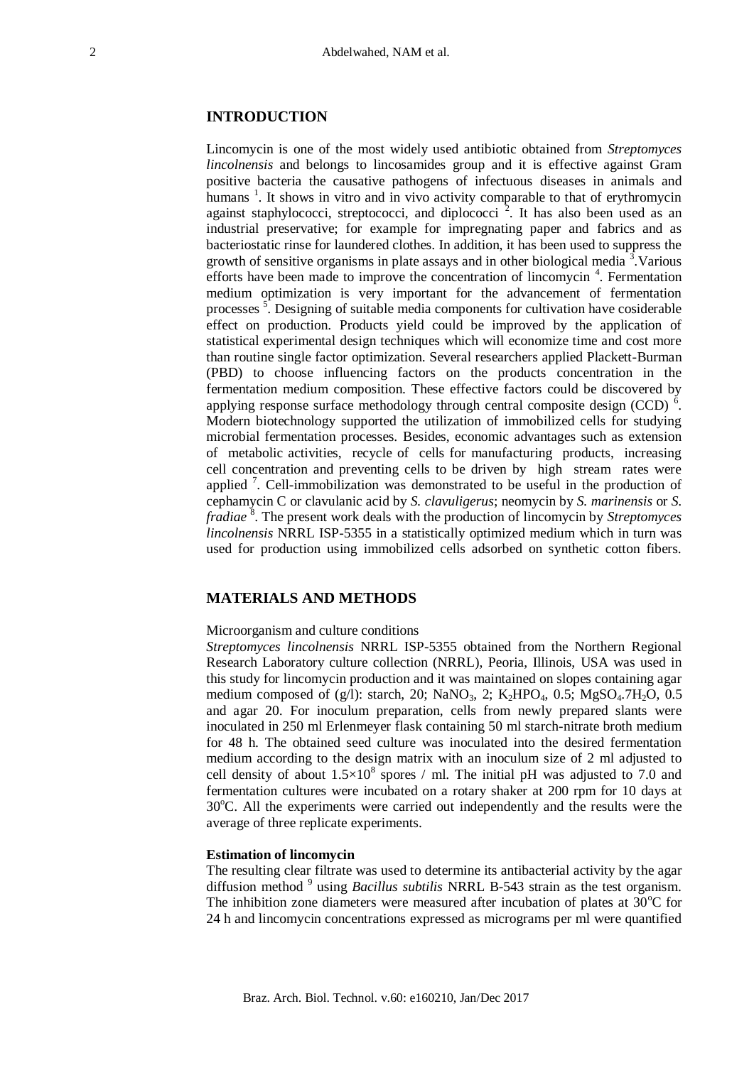## **INTRODUCTION**

Lincomycin is one of the most widely used antibiotic obtained from *Streptomyces lincolnensis* and belongs to lincosamides group and it is effective against Gram positive bacteria the causative pathogens of infectuous diseases in animals and humans<sup>1</sup>. It shows in vitro and in vivo activity comparable to that of erythromycin against staphylococci, streptococci, and diplococci<sup>2</sup>. It has also been used as an industrial preservative; for example for impregnating paper and fabrics and as bacteriostatic rinse for laundered clothes. In addition, it has been used to suppress the growth of sensitive organisms in plate assays and in other biological media<sup>3</sup>. Various efforts have been made to improve the concentration of lincomycin<sup>4</sup>. Fermentation medium optimization is very important for the advancement of fermentation processes<sup>5</sup>. Designing of suitable media components for cultivation have cosiderable effect on production. Products yield could be improved by the application of statistical experimental design techniques which will economize time and cost more than routine single factor optimization. Several researchers applied Plackett-Burman (PBD) to choose influencing factors on the products concentration in the fermentation medium composition. These effective factors could be discovered by applying response surface methodology through central composite design (CCD)  $\delta$ . Modern biotechnology supported the utilization of immobilized cells for studying microbial fermentation processes. Besides, economic advantages such as extension of metabolic activities, recycle of cells for manufacturing products, increasing cell concentration and preventing cells to be driven by high stream rates were applied<sup>7</sup>. Cell-immobilization was demonstrated to be useful in the production of cephamycin C or clavulanic acid by *S. clavuligerus*; neomycin by *S. marinensis* or *S.*  fradiae<sup>8</sup>. The present work deals with the production of lincomycin by *Streptomyces lincolnensis* NRRL ISP-5355 in a statistically optimized medium which in turn was used for production using immobilized cells adsorbed on synthetic cotton fibers.

## **MATERIALS AND METHODS**

#### Microorganism and culture conditions

*Streptomyces lincolnensis* NRRL ISP-5355 obtained from the Northern Regional Research Laboratory culture collection (NRRL), Peoria, Illinois, USA was used in this study for lincomycin production and it was maintained on slopes containing agar medium composed of (g/l): starch, 20; NaNO<sub>3</sub>, 2; K<sub>2</sub>HPO<sub>4</sub>, 0.5; MgSO<sub>4</sub>.7H<sub>2</sub>O, 0.5 and agar 20. For inoculum preparation, cells from newly prepared slants were inoculated in 250 ml Erlenmeyer flask containing 50 ml starch-nitrate broth medium for 48 h. The obtained seed culture was inoculated into the desired fermentation medium according to the design matrix with an inoculum size of 2 ml adjusted to cell density of about  $1.5 \times 10^8$  spores / ml. The initial pH was adjusted to 7.0 and fermentation cultures were incubated on a rotary shaker at 200 rpm for 10 days at 30<sup>o</sup>C. All the experiments were carried out independently and the results were the average of three replicate experiments.

#### **Estimation of lincomycin**

The resulting clear filtrate was used to determine its antibacterial activity by the agar diffusion method <sup>9</sup> using *Bacillus subtilis* NRRL B-543 strain as the test organism. The inhibition zone diameters were measured after incubation of plates at  $30^{\circ}$ C for 24 h and lincomycin concentrations expressed as micrograms per ml were quantified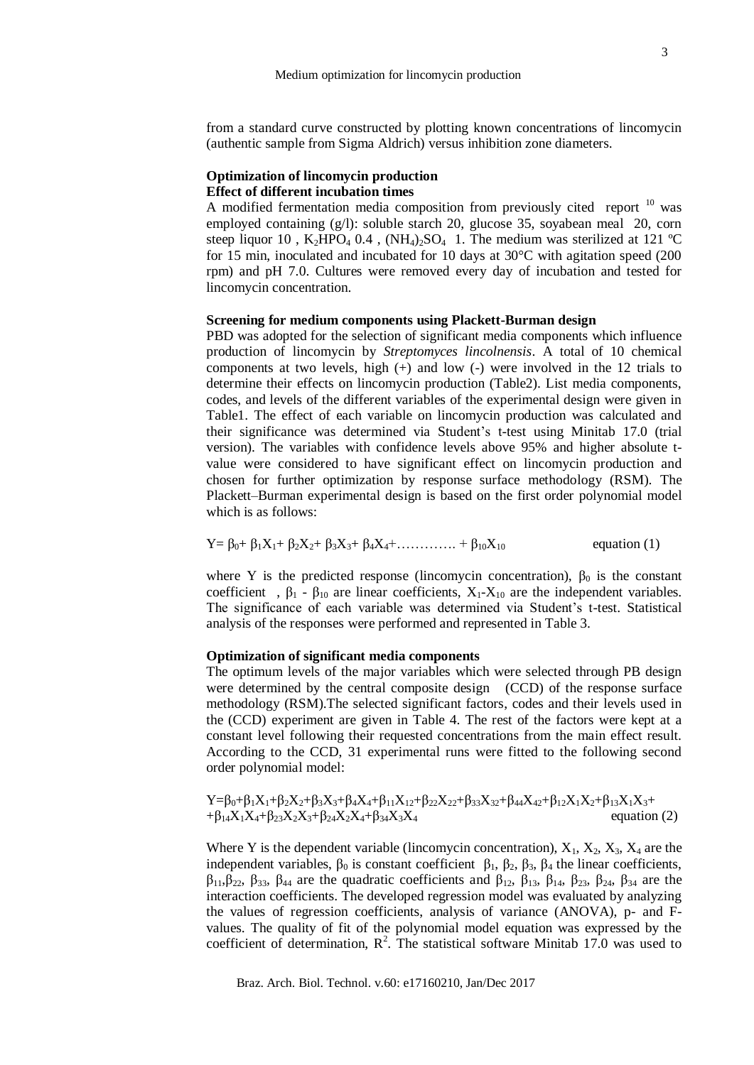from a standard curve constructed by plotting known concentrations of lincomycin (authentic sample from Sigma Aldrich) versus inhibition zone diameters.

## **Optimization of lincomycin production Effect of different incubation times**

A modified fermentation media composition from previously cited report  $10$  was employed containing  $(g/l)$ : soluble starch 20, glucose 35, soyabean meal 20, corn steep liquor 10,  $K_2HPO_4$  0.4,  $(NH_4)_2SO_4$  1. The medium was sterilized at 121 °C for 15 min, inoculated and incubated for 10 days at 30°C with agitation speed (200 rpm) and pH 7.0. Cultures were removed every day of incubation and tested for lincomycin concentration.

## **Screening for medium components using Plackett-Burman design**

PBD was adopted for the selection of significant media components which influence production of lincomycin by *Streptomyces lincolnensis*. A total of 10 chemical components at two levels, high (+) and low (-) were involved in the 12 trials to determine their effects on lincomycin production (Table2). List media components, codes, and levels of the different variables of the experimental design were given in Table1. The effect of each variable on lincomycin production was calculated and their significance was determined via Student's t-test using Minitab 17.0 (trial version). The variables with confidence levels above 95% and higher absolute tvalue were considered to have significant effect on lincomycin production and chosen for further optimization by response surface methodology (RSM). The Plackett–Burman experimental design is based on the first order polynomial model which is as follows:

$$
Y = \beta_0 + \beta_1 X_1 + \beta_2 X_2 + \beta_3 X_3 + \beta_4 X_4 + \dots + \beta_{10} X_{10}
$$
 equation (1)

where Y is the predicted response (lincomycin concentration),  $\beta_0$  is the constant coefficient,  $\beta_1$  -  $\beta_{10}$  are linear coefficients,  $X_1$ - $X_{10}$  are the independent variables. The significance of each variable was determined via Student's t-test. Statistical analysis of the responses were performed and represented in Table 3.

## **Optimization of significant media components**

The optimum levels of the major variables which were selected through PB design were determined by the central composite design (CCD) of the response surface methodology (RSM).The selected significant factors, codes and their levels used in the (CCD) experiment are given in Table 4. The rest of the factors were kept at a constant level following their requested concentrations from the main effect result. According to the CCD, 31 experimental runs were fitted to the following second order polynomial model:

$$
Y=\beta_{0}+\beta_{1}X_{1}+\beta_{2}X_{2}+\beta_{3}X_{3}+\beta_{4}X_{4}+\beta_{11}X_{12}+\beta_{22}X_{22}+\beta_{33}X_{32}+\beta_{44}X_{42}+\beta_{12}X_{1}X_{2}+\beta_{13}X_{1}X_{3}+\beta_{14}X_{1}X_{4}+\beta_{23}X_{2}X_{3}+\beta_{24}X_{2}X_{4}+\beta_{34}X_{3}X_{4} \hspace{1.5cm}\text{equation (2)}
$$

Where Y is the dependent variable (lincomycin concentration),  $X_1$ ,  $X_2$ ,  $X_3$ ,  $X_4$  are the independent variables,  $β_0$  is constant coefficient  $β_1$ ,  $β_2$ ,  $β_3$ ,  $β_4$  the linear coefficients,  $β_{11}β_{22}$ ,  $β_{33}$ ,  $β_{44}$  are the quadratic coefficients and  $β_{12}$ ,  $β_{13}$ ,  $β_{14}$ ,  $β_{23}$ ,  $β_{24}$ ,  $β_{34}$  are the interaction coefficients. The developed regression model was evaluated by analyzing the values of regression coefficients, analysis of variance (ANOVA), p- and Fvalues. The quality of fit of the polynomial model equation was expressed by the coefficient of determination,  $R^2$ . The statistical software Minitab 17.0 was used to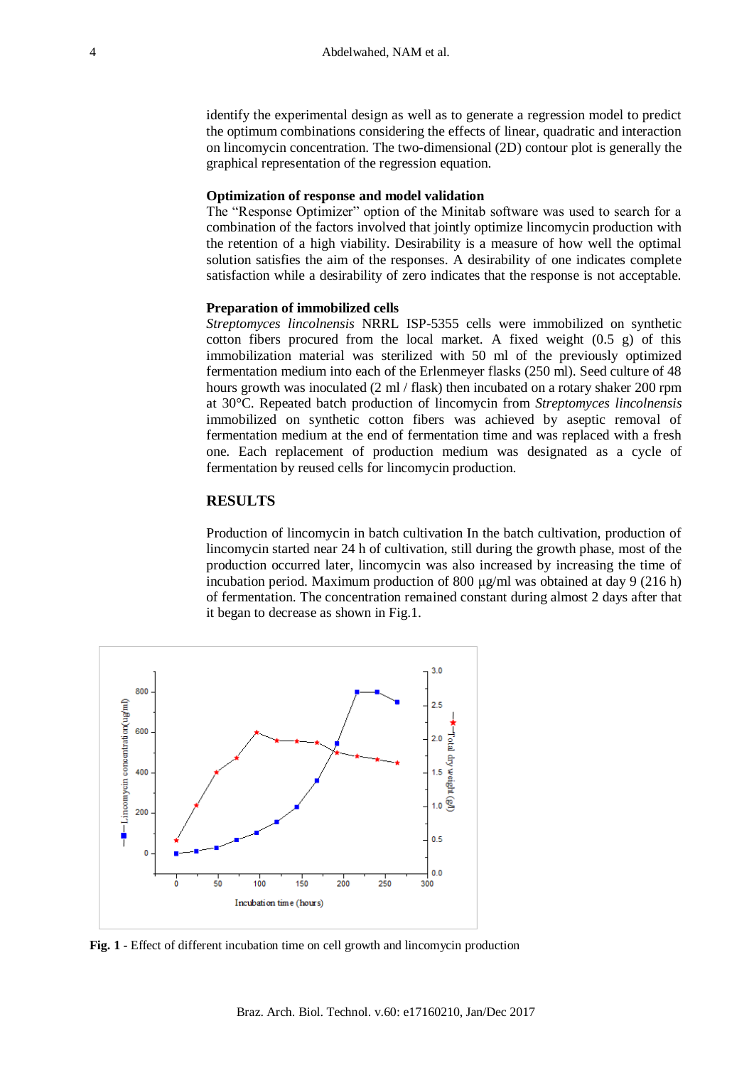identify the experimental design as well as to generate a regression model to predict the optimum combinations considering the effects of linear, quadratic and interaction on lincomycin concentration. The two-dimensional (2D) contour plot is generally the graphical representation of the regression equation.

#### **Optimization of response and model validation**

The "Response Optimizer" option of the Minitab software was used to search for a combination of the factors involved that jointly optimize lincomycin production with the retention of a high viability. Desirability is a measure of how well the optimal solution satisfies the aim of the responses. A desirability of one indicates complete satisfaction while a desirability of zero indicates that the response is not acceptable.

#### **Preparation of immobilized cells**

*Streptomyces lincolnensis* NRRL ISP-5355 cells were immobilized on synthetic cotton fibers procured from the local market. A fixed weight  $(0.5 \text{ g})$  of this immobilization material was sterilized with 50 ml of the previously optimized fermentation medium into each of the Erlenmeyer flasks (250 ml). Seed culture of 48 hours growth was inoculated (2 ml / flask) then incubated on a rotary shaker 200 rpm at 30°C. Repeated batch production of lincomycin from *Streptomyces lincolnensis* immobilized on synthetic cotton fibers was achieved by aseptic removal of fermentation medium at the end of fermentation time and was replaced with a fresh one. Each replacement of production medium was designated as a cycle of fermentation by reused cells for lincomycin production.

## **RESULTS**

Production of lincomycin in batch cultivation In the batch cultivation, production of lincomycin started near 24 h of cultivation, still during the growth phase, most of the production occurred later, lincomycin was also increased by increasing the time of incubation period. Maximum production of 800  $\mu$ g/ml was obtained at day 9 (216 h) of fermentation. The concentration remained constant during almost 2 days after that it began to decrease as shown in Fig.1.



**Fig. 1 -** Effect of different incubation time on cell growth and lincomycin production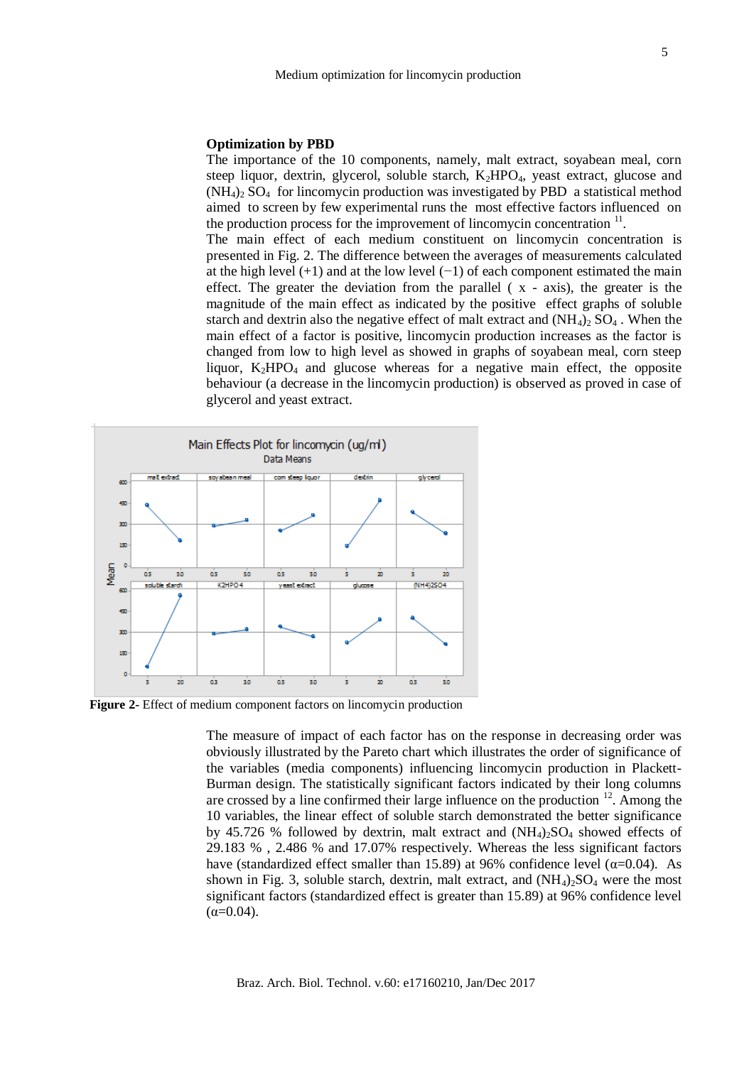#### **Optimization by PBD**

The importance of the 10 components, namely, malt extract, soyabean meal, corn steep liquor, dextrin, glycerol, soluble starch,  $K_2HPO_4$ , yeast extract, glucose and  $(NH_4)$ . SO<sub>4</sub> for lincomycin production was investigated by PBD a statistical method aimed to screen by few experimental runs the most effective factors influenced on the production process for the improvement of lincomycin concentration  $\mathbf{u}$ . .

The main effect of each medium constituent on lincomycin concentration is presented in Fig. 2. The difference between the averages of measurements calculated at the high level  $(+1)$  and at the low level  $(-1)$  of each component estimated the main effect. The greater the deviation from the parallel  $(x - axis)$ , the greater is the magnitude of the main effect as indicated by the positive effect graphs of soluble starch and dextrin also the negative effect of malt extract and  $(NH_4)_2 SO_4$ . When the main effect of a factor is positive, lincomycin production increases as the factor is changed from low to high level as showed in graphs of soyabean meal, corn steep liquor,  $K_2HPO_4$  and glucose whereas for a negative main effect, the opposite behaviour (a decrease in the lincomycin production) is observed as proved in case of glycerol and yeast extract.



**Figure 2-** Effect of medium component factors on lincomycin production

The measure of impact of each factor has on the response in decreasing order was obviously illustrated by the Pareto chart which illustrates the order of significance of the variables (media components) influencing lincomycin production in Plackett-Burman design. The statistically significant factors indicated by their long columns are crossed by a line confirmed their large influence on the production  $12$ . Among the 10 variables, the linear effect of soluble starch demonstrated the better significance by 45.726 % followed by dextrin, malt extract and  $(NH_4)_2SO_4$  showed effects of 29.183 % , 2.486 % and 17.07% respectively. Whereas the less significant factors have (standardized effect smaller than 15.89) at 96% confidence level ( $\alpha$ =0.04). As shown in Fig. 3, soluble starch, dextrin, malt extract, and  $(NH_4)_2SO_4$  were the most significant factors (standardized effect is greater than 15.89) at 96% confidence level  $(α=0.04)$ .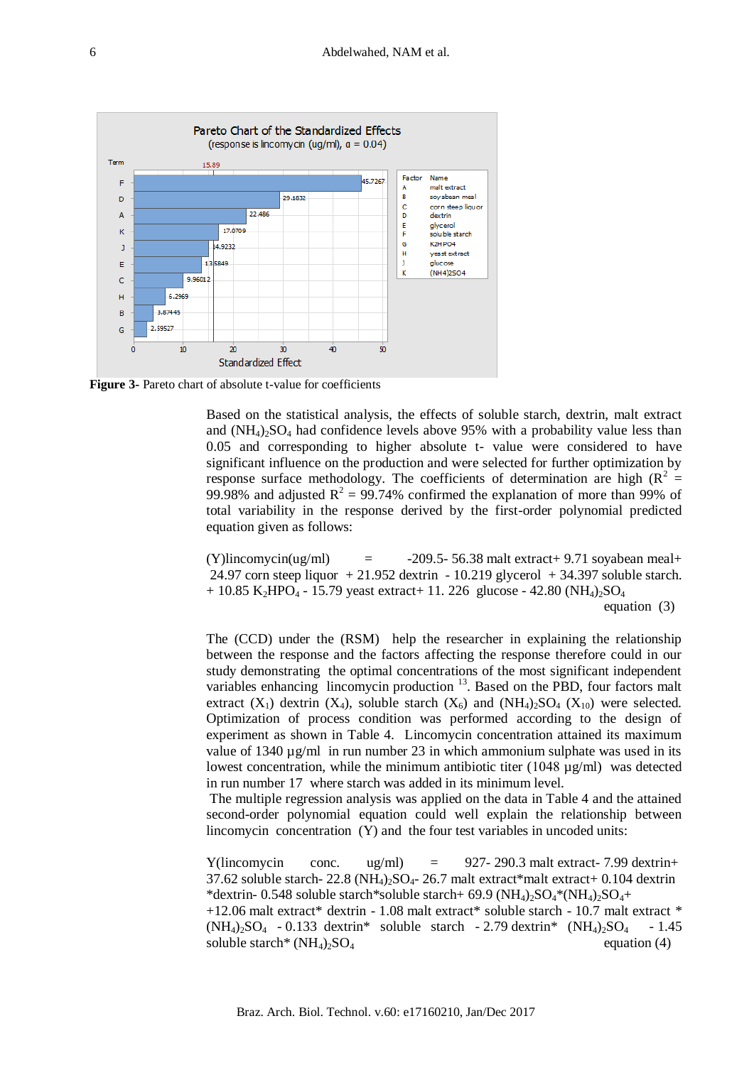

**Figure 3-** Pareto chart of absolute t-value for coefficients

Based on the statistical analysis, the effects of soluble starch, dextrin, malt extract and  $(NH_4)_2SO_4$  had confidence levels above 95% with a probability value less than 0.05 and corresponding to higher absolute t- value were considered to have significant influence on the production and were selected for further optimization by response surface methodology. The coefficients of determination are high ( $R^2$  = 99.98% and adjusted  $R^2 = 99.74$ % confirmed the explanation of more than 99% of total variability in the response derived by the first-order polynomial predicted equation given as follows:

 $(Y)$ lincomycin(ug/ml) = -209.5- 56.38 malt extract + 9.71 soyabean meal + 24.97 corn steep liquor  $+21.952$  dextrin  $-10.219$  glycerol  $+34.397$  soluble starch.  $+ 10.85$  K<sub>2</sub>HPO<sub>4</sub> - 15.79 yeast extract + 11. 226 glucose - 42.80 (NH<sub>4</sub>)<sub>2</sub>SO<sub>4</sub> equation (3)

The (CCD) under the (RSM) help the researcher in explaining the relationship between the response and the factors affecting the response therefore could in our study demonstrating the optimal concentrations of the most significant independent variables enhancing lincomycin production <sup>13</sup>. Based on the PBD, four factors malt extract  $(X_1)$  dextrin  $(X_4)$ , soluble starch  $(X_6)$  and  $(NH_4)_2SO_4$   $(X_{10})$  were selected. Optimization of process condition was performed according to the design of experiment as shown in Table 4. Lincomycin concentration attained its maximum value of  $1340 \mu g/ml$  in run number 23 in which ammonium sulphate was used in its lowest concentration, while the minimum antibiotic titer  $(1048 \text{ µg/ml})$  was detected in run number 17 where starch was added in its minimum level.

The multiple regression analysis was applied on the data in Table 4 and the attained second-order polynomial equation could well explain the relationship between lincomycin concentration (Y) and the four test variables in uncoded units:

Y(lincomycin conc. ug/ml) =  $927-290.3$  malt extract- 7.99 dextrin+ 37.62 soluble starch-  $22.8$  (NH<sub>4</sub>)<sub>2</sub>SO<sub>4</sub>- 26.7 malt extract\*malt extract+ 0.104 dextrin \*dextrin- 0.548 soluble starch\*soluble starch+ 69.9 (NH $_4$ ) $_2$ SO<sub>4</sub>\*(NH<sub>4</sub>) $_2$ SO<sub>4</sub>+  $+12.06$  malt extract\* dextrin - 1.08 malt extract\* soluble starch - 10.7 malt extract \*  $(NH_4)_2SO_4$  - 0.133 dextrin\* soluble starch - 2.79 dextrin\*  $(NH_4)_2SO_4$  - 1.45 soluble starch\*  $(NH_4)_2SO_4$  equation (4)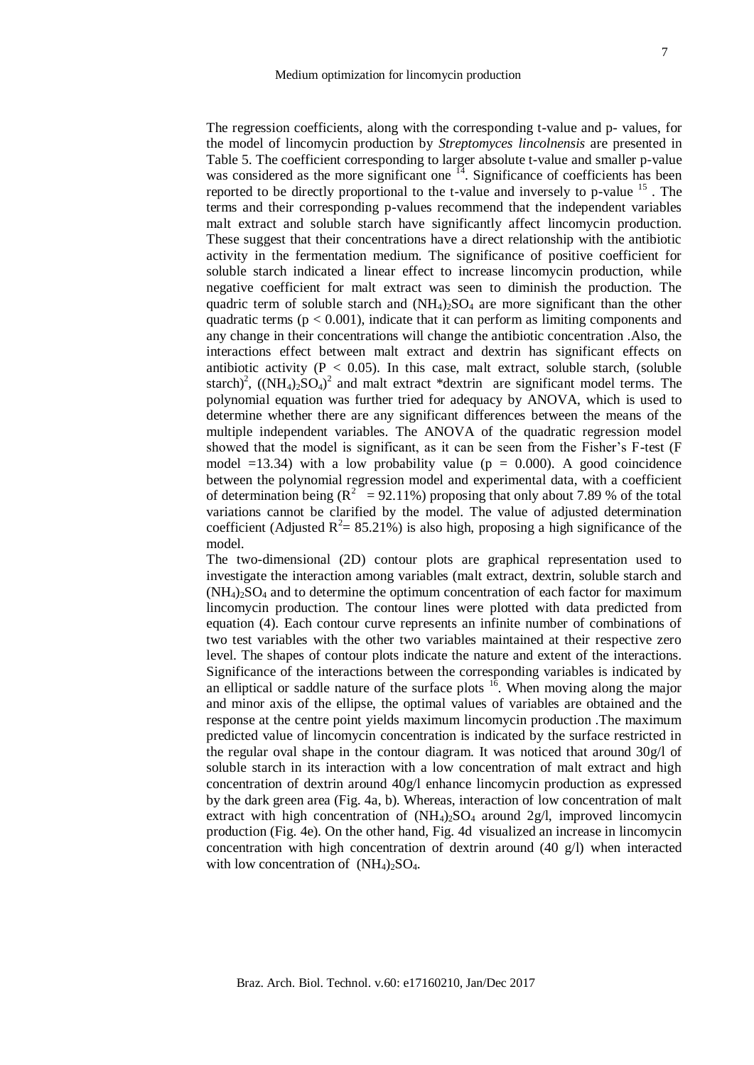The regression coefficients, along with the corresponding t-value and p- values, for the model of lincomycin production by *Streptomyces lincolnensis* are presented in Table 5. The coefficient corresponding to larger absolute t-value and smaller p-value was considered as the more significant one  $^{14}$ . Significance of coefficients has been reported to be directly proportional to the t-value and inversely to p-value  $15$ . The terms and their corresponding p-values recommend that the independent variables malt extract and soluble starch have significantly affect lincomycin production. These suggest that their concentrations have a direct relationship with the antibiotic activity in the fermentation medium. The significance of positive coefficient for soluble starch indicated a linear effect to increase lincomycin production, while negative coefficient for malt extract was seen to diminish the production. The quadric term of soluble starch and  $(NH_4)_2SO_4$  are more significant than the other quadratic terms ( $p < 0.001$ ), indicate that it can perform as limiting components and any change in their concentrations will change the antibiotic concentration .Also, the interactions effect between malt extract and dextrin has significant effects on antibiotic activity ( $P < 0.05$ ). In this case, malt extract, soluble starch, (soluble starch)<sup>2</sup>,  $((NH_4)_2SO_4)^2$  and malt extract \*dextrin are significant model terms. The polynomial equation was further tried for adequacy by ANOVA, which is used to determine whether there are any significant differences between the means of the multiple independent variables. The ANOVA of the quadratic regression model showed that the model is significant, as it can be seen from the Fisher's F-test (F model  $=13.34$ ) with a low probability value ( $p = 0.000$ ). A good coincidence between the polynomial regression model and experimental data, with a coefficient of determination being ( $R^2$  = 92.11%) proposing that only about 7.89 % of the total variations cannot be clarified by the model. The value of adjusted determination coefficient (Adjusted  $R^2 = 85.21\%$ ) is also high, proposing a high significance of the model.

The two-dimensional (2D) contour plots are graphical representation used to investigate the interaction among variables (malt extract, dextrin, soluble starch and  $(NH_4)$ <sub>2</sub>SO<sub>4</sub> and to determine the optimum concentration of each factor for maximum lincomycin production. The contour lines were plotted with data predicted from equation (4). Each contour curve represents an infinite number of combinations of two test variables with the other two variables maintained at their respective zero level. The shapes of contour plots indicate the nature and extent of the interactions. Significance of the interactions between the corresponding variables is indicated by an elliptical or saddle nature of the surface plots  $16$ . When moving along the major and minor axis of the ellipse, the optimal values of variables are obtained and the response at the centre point yields maximum lincomycin production .The maximum predicted value of lincomycin concentration is indicated by the surface restricted in the regular oval shape in the contour diagram. It was noticed that around  $30g/1$  of soluble starch in its interaction with a low concentration of malt extract and high concentration of dextrin around 40g/l enhance lincomycin production as expressed by the dark green area (Fig. 4a, b). Whereas, interaction of low concentration of malt extract with high concentration of  $(NH_4)_2SO_4$  around 2g/l, improved lincomycin production (Fig. 4e). On the other hand, Fig. 4d visualized an increase in lincomycin concentration with high concentration of dextrin around  $(40 \text{ g/l})$  when interacted with low concentration of  $(NH_4)_2SO_4$ .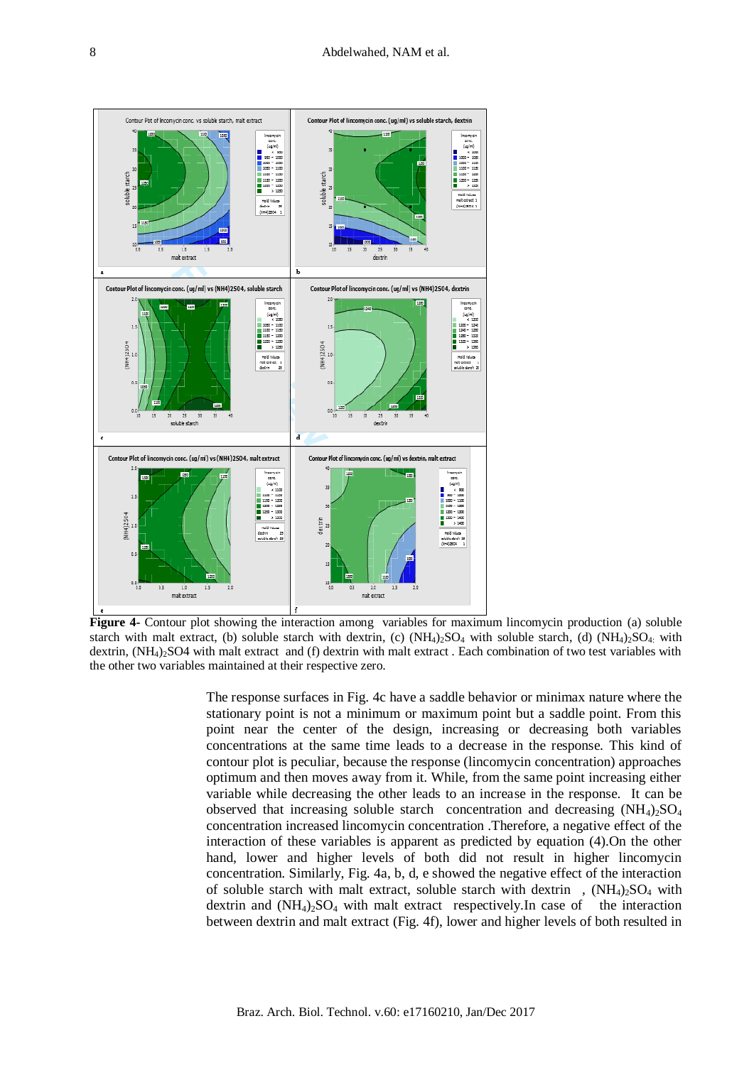

**Figure 4-** Contour plot showing the interaction among variables for maximum lincomycin production (a) soluble starch with malt extract, (b) soluble starch with dextrin, (c)  $(NH_4)_2SO_4$  with soluble starch, (d)  $(NH_4)_2SO_4$ : with dextrin,  $(NH_4)$ <sub>2</sub>SO4 with malt extract and (f) dextrin with malt extract. Each combination of two test variables with the other two variables maintained at their respective zero.

The response surfaces in Fig. 4c have a saddle behavior or minimax nature where the stationary point is not a minimum or maximum point but a saddle point. From this point near the center of the design, increasing or decreasing both variables concentrations at the same time leads to a decrease in the response. This kind of contour plot is peculiar, because the response (lincomycin concentration) approaches optimum and then moves away from it. While, from the same point increasing either variable while decreasing the other leads to an increase in the response. It can be observed that increasing soluble starch concentration and decreasing  $(NH_4)_2SO_4$ concentration increased lincomycin concentration .Therefore, a negative effect of the interaction of these variables is apparent as predicted by equation (4).On the other hand, lower and higher levels of both did not result in higher lincomycin concentration. Similarly, Fig. 4a, b, d, e showed the negative effect of the interaction of soluble starch with malt extract, soluble starch with dextrin,  $(NH_4)_2SO_4$  with dextrin and  $(NH_4)_2SO_4$  with malt extract respectively. In case of the interaction between dextrin and malt extract (Fig. 4f), lower and higher levels of both resulted in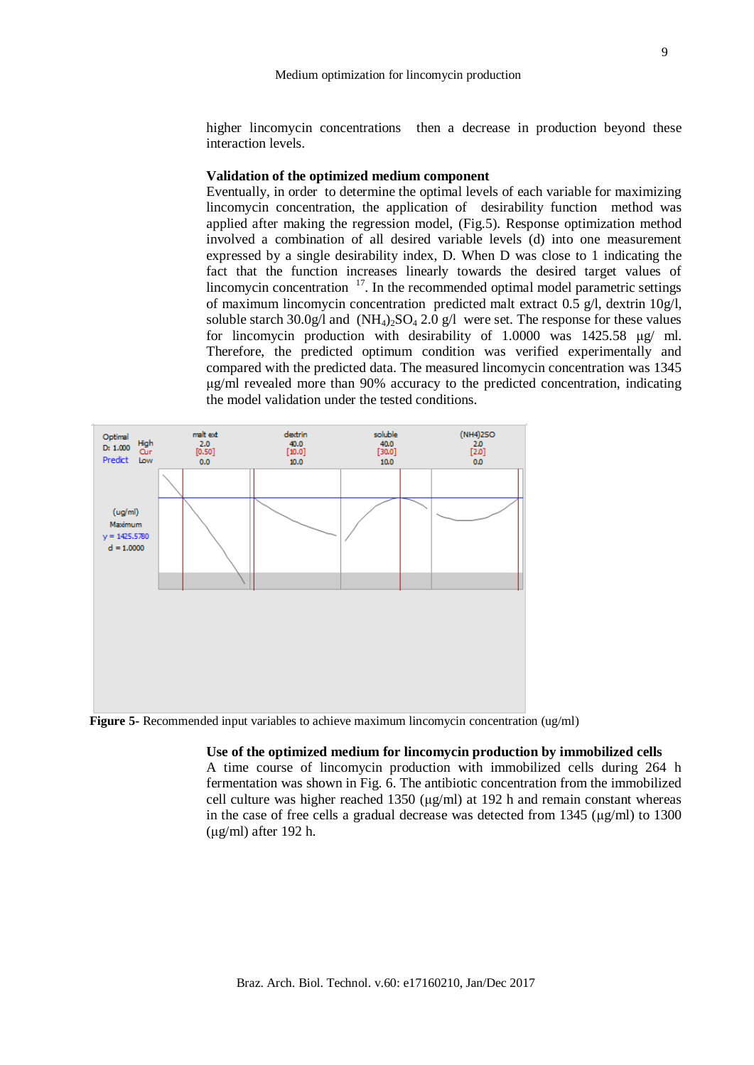higher lincomvein concentrations then a decrease in production beyond these interaction levels.

## **Validation of the optimized medium component**

Eventually, in order to determine the optimal levels of each variable for maximizing lincomycin concentration, the application of desirability function method was applied after making the regression model, [\(Fig.5\)](http://www.ncbi.nlm.nih.gov/pmc/articles/PMC4393054/figure/fig2/). Response optimization method involved a combination of all desired variable levels (d) into one measurement expressed by a single desirability index, D. When D was close to 1 indicating the fact that the function increases linearly towards the desired target values of lincomycin concentration  $17$ . In the recommended optimal model parametric settings of maximum lincomycin concentration predicted malt extract  $0.5 \text{ g/l}$ , dextrin  $10 \text{ g/l}$ , soluble starch  $30.0g/$ l and  $(NH_4)_{2}SO_4$  2.0 g/l were set. The response for these values for lincomycin production with desirability of 1.0000 was 1425.58 μg/ ml. Therefore, the predicted optimum condition was verified experimentally and compared with the predicted data. The measured lincomycin concentration was 1345 μg/ml revealed more than 90% accuracy to the predicted concentration, indicating the model validation under the tested conditions.



**Figure 5-** Recommended input variables to achieve maximum lincomycin concentration (ug/ml)

#### **Use of the optimized medium for lincomycin production by immobilized cells**

A time course of lincomycin production with immobilized cells during 264 h fermentation was shown in Fig. 6. The antibiotic concentration from the immobilized cell culture was higher reached 1350 (μg/ml) at 192 h and remain constant whereas in the case of free cells a gradual decrease was detected from  $1345 \, (\mu g/ml)$  to  $1300$ (μg/ml) after 192 h.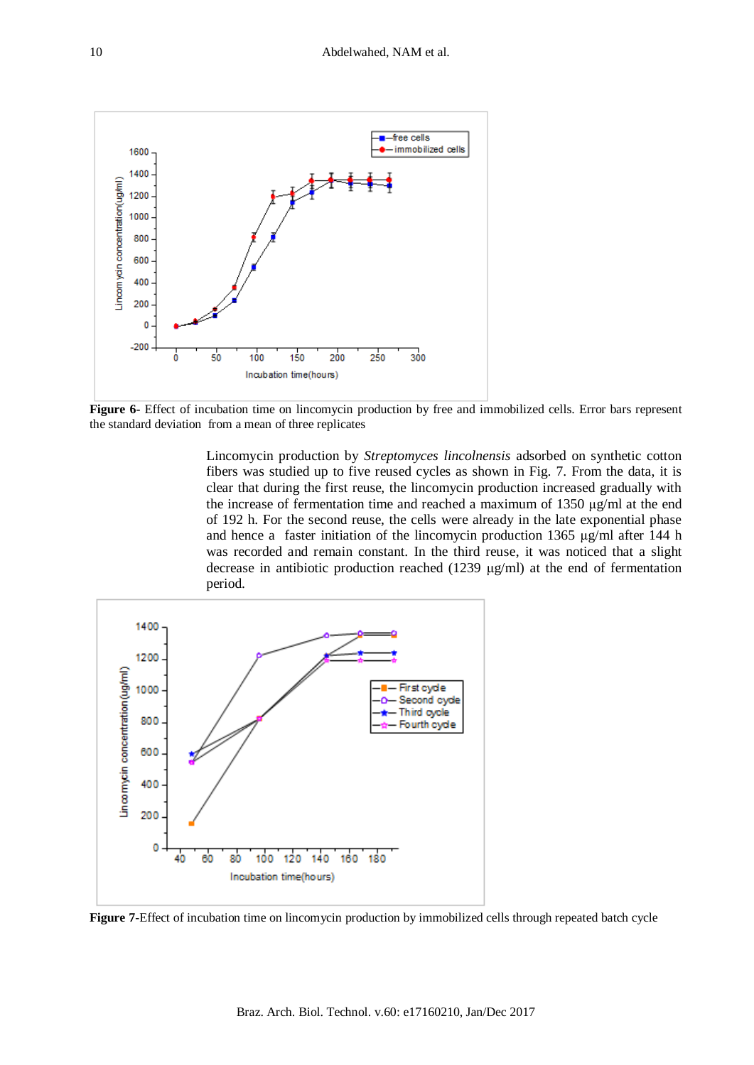

**Figure 6-** Effect of incubation time on lincomycin production by free and immobilized cells. Error bars represent the standard deviation from a mean of three replicates

Lincomycin production by *Streptomyces lincolnensis* adsorbed on synthetic cotton fibers was studied up to five reused cycles as shown in Fig. 7. From the data, it is clear that during the first reuse, the lincomycin production increased gradually with the increase of fermentation time and reached a maximum of 1350  $\mu$ g/ml at the end of 192 h. For the second reuse, the cells were already in the late exponential phase and hence a faster initiation of the lincomycin production 1365 μg/ml after 144 h was recorded and remain constant. In the third reuse, it was noticed that a slight decrease in antibiotic production reached (1239 μg/ml) at the end of fermentation period.



**Figure 7-**Effect of incubation time on lincomycin production by immobilized cells through repeated batch cycle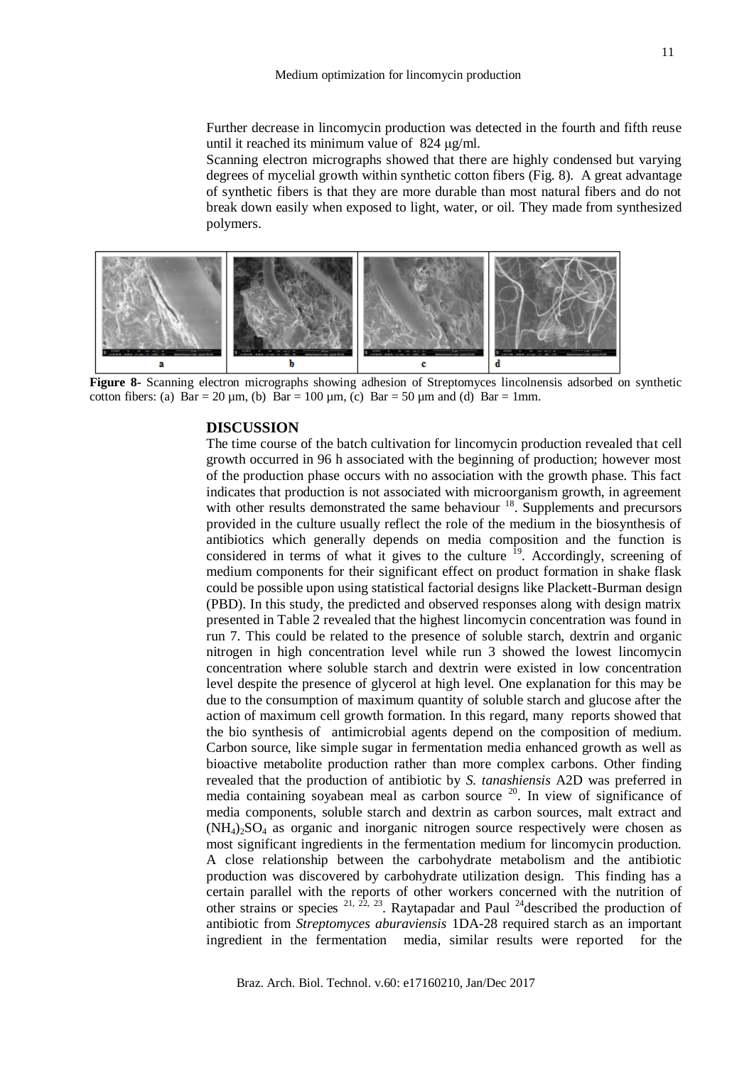Further decrease in lincomycin production was detected in the fourth and fifth reuse until it reached its minimum value of 824 μg/ml.

Scanning electron micrographs showed that there are highly condensed but varying degrees of mycelial growth within synthetic cotton fibers (Fig. 8). A great advantage of synthetic fibers is that they are more durable than most natural fibers and do not break down easily when exposed to light, water, or oil. They made from synthesized polymers.



**Figure 8-** Scanning electron micrographs showing adhesion of Streptomyces lincolnensis adsorbed on synthetic cotton fibers: (a)  $Bar = 20$  um, (b)  $Bar = 100$  um, (c)  $Bar = 50$  um and (d)  $Bar = 1$ mm.

## **DISCUSSION**

The time course of the batch cultivation for lincomycin production revealed that cell growth occurred in 96 h associated with the beginning of production; however most of the production phase occurs with no association with the growth phase. This fact indicates that production is not associated with microorganism growth, in agreement with other results demonstrated the same behaviour <sup>18</sup>. Supplements and precursors provided in the culture usually reflect the role of the medium in the biosynthesis of antibiotics which generally depends on media composition and the function is considered in terms of what it gives to the culture  $19$ . Accordingly, screening of medium components for their significant effect on product formation in shake flask could be possible upon using statistical factorial designs like Plackett-Burman design (PBD). In this study, the predicted and observed responses along with design matrix presented in Table 2 revealed that the highest lincomycin concentration was found in run 7. This could be related to the presence of soluble starch, dextrin and organic nitrogen in high concentration level while run 3 showed the lowest lincomycin concentration where soluble starch and dextrin were existed in low concentration level despite the presence of glycerol at high level. One explanation for this may be due to the consumption of maximum quantity of soluble starch and glucose after the action of maximum cell growth formation. In this regard, many reports showed that the bio synthesis of antimicrobial agents depend on the composition of medium. Carbon source, like simple sugar in fermentation media enhanced growth as well as bioactive metabolite production rather than more complex carbons. Other finding revealed that the production of antibiotic by *S. tanashiensis* A2D was preferred in media containing soyabean meal as carbon source  $20$ . In view of significance of media components, soluble starch and dextrin as carbon sources, malt extract and  $(NH<sub>4</sub>)<sub>2</sub>SO<sub>4</sub>$  as organic and inorganic nitrogen source respectively were chosen as most significant ingredients in the fermentation medium for lincomycin production. A close relationship between the carbohydrate metabolism and the antibiotic production was discovered by carbohydrate utilization design. This finding has a certain parallel with the reports of other workers concerned with the nutrition of other strains or species  $21, 22, 23$ . Raytapadar and Paul  $24$  described the production of antibiotic from *Streptomyces aburaviensis* 1DA-28 required starch as an important ingredient in the fermentation media, similar results were reported for the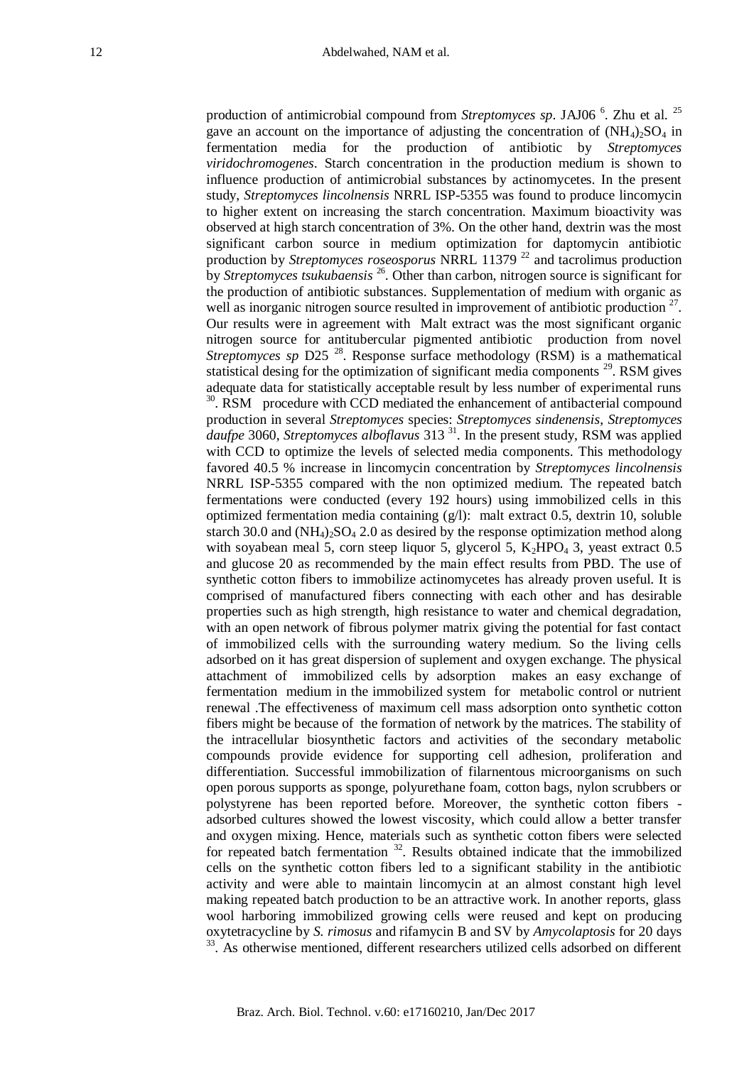production of antimicrobial compound from *Streptomyces sp*. JAJ06<sup>6</sup>. Zhu et al. <sup>25</sup> gave an account on the importance of adjusting the concentration of  $(NH<sub>4</sub>)<sub>2</sub>SO<sub>4</sub>$  in fermentation media for the production of antibiotic by *Streptomyces viridochromogenes*. Starch concentration in the production medium is shown to influence production of antimicrobial substances by actinomycetes. In the present study, *Streptomyces lincolnensis* NRRL ISP-5355 was found to produce lincomycin to higher extent on increasing the starch concentration. Maximum bioactivity was observed at high starch concentration of 3%. On the other hand, dextrin was the most significant carbon source in medium optimization for daptomycin antibiotic production by *Streptomyces roseosporus* NRRL 11379 <sup>22</sup> and tacrolimus production by *Streptomyces tsukubaensis* <sup>26</sup>. Other than carbon, nitrogen source is significant for the production of antibiotic substances. Supplementation of medium with organic as well as inorganic nitrogen source resulted in improvement of antibiotic production  $27$ . Our results were in agreement with Malt extract was the most significant organic nitrogen source for antitubercular pigmented antibiotic production from novel *Streptomyces sp* D25<sup>28</sup>. Response surface methodology (RSM) is a mathematical statistical desing for the optimization of significant media components  $^{29}$ . RSM gives adequate data for statistically acceptable result by less number of experimental runs <sup>30</sup>. RSM procedure with CCD mediated the enhancement of antibacterial compound production in several *Streptomyces* species: *Streptomyces sindenensis*, *Streptomyces daufpe* 3060, *Streptomyces alboflavus* 313<sup>31</sup>. In the present study, RSM was applied with CCD to optimize the levels of selected media components. This methodology favored 40.5 % increase in lincomycin concentration by *Streptomyces lincolnensis* NRRL ISP-5355 compared with the non optimized medium. The repeated batch fermentations were conducted (every 192 hours) using immobilized cells in this optimized fermentation media containing (g/l): malt extract 0.5, dextrin 10, soluble starch 30.0 and  $(NH_4)_2SO_4$  2.0 as desired by the response optimization method along with soyabean meal 5, corn steep liquor 5, glycerol 5,  $K_2HPO_4$  3, yeast extract 0.5 and glucose 20 as recommended by the main effect results from PBD. The use of synthetic cotton fibers to immobilize actinomycetes has already proven useful. It is comprised of manufactured fibers connecting with each other and has desirable properties such as high strength, high resistance to water and chemical degradation, with an open network of fibrous polymer matrix giving the potential for fast contact of immobilized cells with the surrounding watery medium. So the living cells adsorbed on it has great dispersion of suplement and oxygen exchange. The physical attachment of immobilized cells by adsorption makes an easy exchange of fermentation medium in the immobilized system for metabolic control or nutrient renewal .The effectiveness of maximum cell mass adsorption onto synthetic cotton fibers might be because of the formation of network by the matrices. The stability of the intracellular biosynthetic factors and activities of the secondary metabolic compounds provide evidence for supporting cell adhesion, proliferation and differentiation. Successful immobilization of filarnentous microorganisms on such open porous supports as sponge, polyurethane foam, cotton bags, nylon scrubbers or polystyrene has been reported before. Moreover, the synthetic cotton fibers adsorbed cultures showed the lowest viscosity, which could allow a better transfer and oxygen mixing. Hence, materials such as synthetic cotton fibers were selected for repeated batch fermentation  $32$ . Results obtained indicate that the immobilized cells on the synthetic cotton fibers led to a significant stability in the antibiotic activity and were able to maintain lincomycin at an almost constant high level making repeated batch production to be an attractive work. In another reports, glass wool harboring immobilized growing cells were reused and kept on producing oxytetracycline by *S. rimosus* and rifamycin B and SV by *Amycolaptosis* for 20 days <sup>33</sup>. As otherwise mentioned, different researchers utilized cells adsorbed on different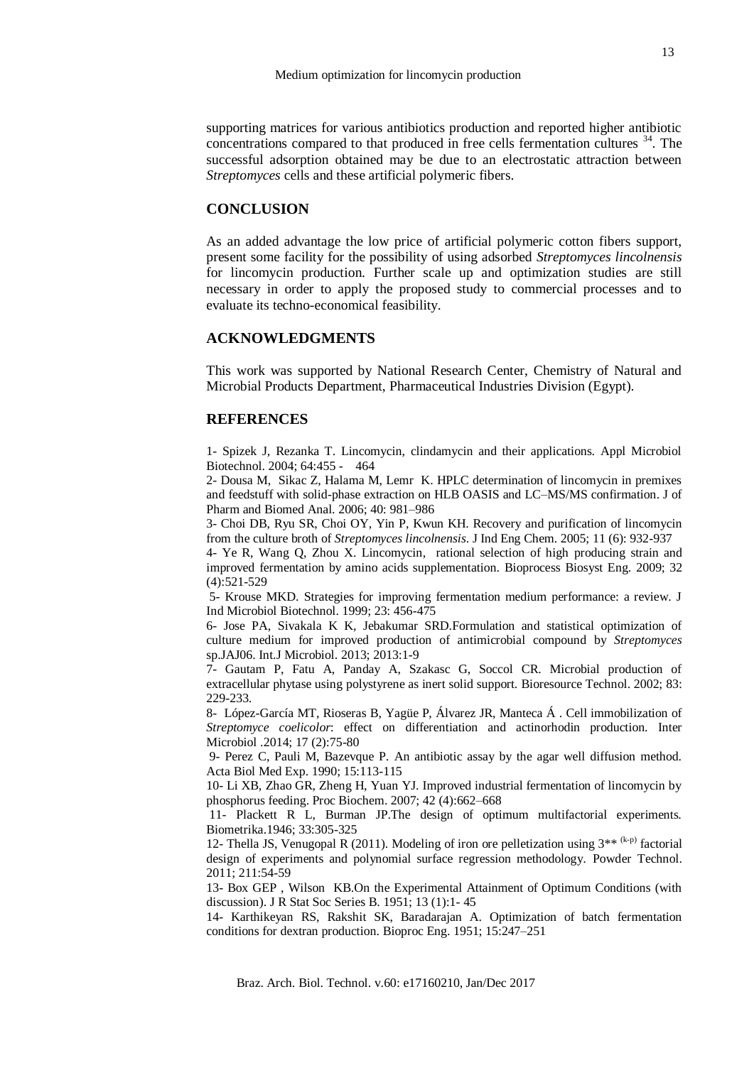supporting matrices for various antibiotics production and reported higher antibiotic concentrations compared to that produced in free cells fermentation cultures  $34$ . The successful adsorption obtained may be due to an electrostatic attraction between *Streptomyces* cells and these artificial polymeric fibers.

## **CONCLUSION**

As an added advantage the low price of artificial polymeric cotton fibers support, present some facility for the possibility of using adsorbed *Streptomyces lincolnensis* for lincomycin production. Further scale up and optimization studies are still necessary in order to apply the proposed study to commercial processes and to evaluate its techno-economical feasibility.

## **ACKNOWLEDGMENTS**

This work was supported by National Research Center, Chemistry of Natural and Microbial Products Department, Pharmaceutical Industries Division (Egypt).

## **REFERENCES**

1- Spizek J, Rezanka T. Lincomycin, clindamycin and their applications. Appl Microbiol Biotechnol. 2004; 64:455 - 464

2- Dousa M, Sikac Z, Halama M, Lemr K. HPLC determination of lincomycin in premixes and feedstuff with solid-phase extraction on HLB OASIS and LC–MS/MS confirmation. J of Pharm and Biomed Anal. 2006; 40: 981–986

3- [Choi](http://scholar.ndsl.kr/schArticleDetail.do?cn=NART27172692) DB, Ryu [SR, Choi](http://scholar.ndsl.kr/schArticleDetail.do?cn=NART27172692) OY, [Yin](http://scholar.ndsl.kr/schArticleDetail.do?cn=NART27172692) P, [Kwun](http://scholar.ndsl.kr/schArticleDetail.do?cn=NART27172692) KH. Recovery and purification of lincomycin from the culture broth of *Streptomyces lincolnensis*. J Ind Eng Chem. 2005; 11 (6): 932-937

4- Ye R, Wang Q, Zhou X. Lincomycin, rational selection of high producing strain and improved fermentation by amino acids supplementation. Bioprocess Biosyst Eng. 2009; 32 (4):521-529

5- Krouse MKD. Strategies for improving fermentation medium performance: a review. J Ind Microbiol Biotechnol. 1999; 23: 456-475

6- Jose PA, Sivakala K K, Jebakumar SRD.Formulation and statistical optimization of culture medium for improved production of antimicrobial compound by *Streptomyces*  sp.JAJ06. Int.J Microbiol. 2013; 2013:1-9

7- Gautam P, Fatu A, Panday A, Szakasc G, Soccol CR. Microbial production of extracellular phytase using polystyrene as inert solid support. Bioresource Technol. 2002; 83: 229-233.

8- López-García MT, Rioseras B, Yagüe P, Álvarez JR, Manteca Á . Cell immobilization of *Streptomyce coelicolor*: effect on differentiation and actinorhodin production. Inter Microbiol .2014; 17 (2):75-80

9- Perez C, Pauli M, Bazevque P. An antibiotic assay by the agar well diffusion method. Acta Biol Med Exp. 1990; 15:113-115

10- Li XB, Zhao GR, Zheng H, Yuan YJ. Improved industrial fermentation of lincomycin by phosphorus feeding. Proc Biochem. 2007; 42 (4):662–668

11- Plackett R L, Burman JP.The design of optimum multifactorial experiments. Biometrika.1946; 33:305-325

12- Thella JS, Venugopal R (2011). Modeling of iron ore pelletization using  $3^{**}$  (k-p) factorial design of experiments and polynomial surface regression methodology*.* Powder Technol. 2011; 211:54-59

13- Box GEP , Wilson KB.On the Experimental Attainment of Optimum Conditions (with discussion). J R Stat Soc Series B. 1951; 13 (1):1- 45

14- Karthikeyan RS, Rakshit SK, Baradarajan A. Optimization of batch fermentation conditions for dextran production. Bioproc Eng. 1951; 15:247–251